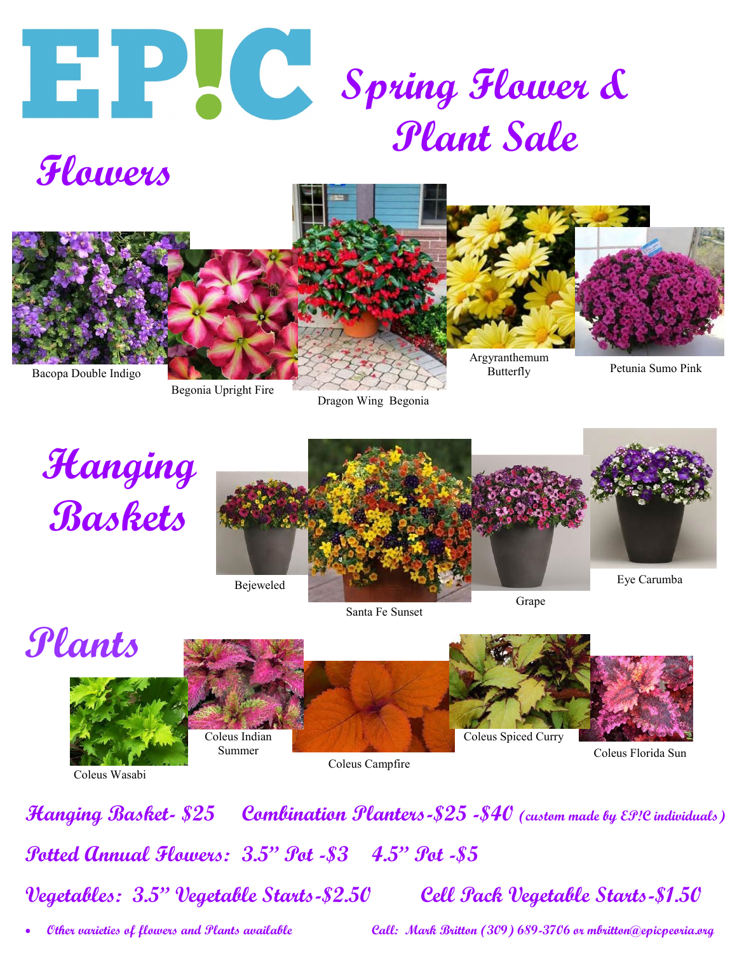





Begonia Upright Fire

Dragon Wing Begonia



Santa Fe Sunset

Grape



Coleus Wasabi

**Hanging Basket- \$25 Combination Planters-\$25 -\$40 (custom made by EP!C individuals) Potted Annual Flowers: 3.5" Pot -\$3 4.5" Pot -\$5 Vegetables: 3.5" Vegetable Starts-\$2.50 Cell Pack Vegetable Starts-\$1.50**

**Other varieties of flowers and Plants available Call: Mark Britton (309) 689-3706 or mbritton@epicpeoria.org**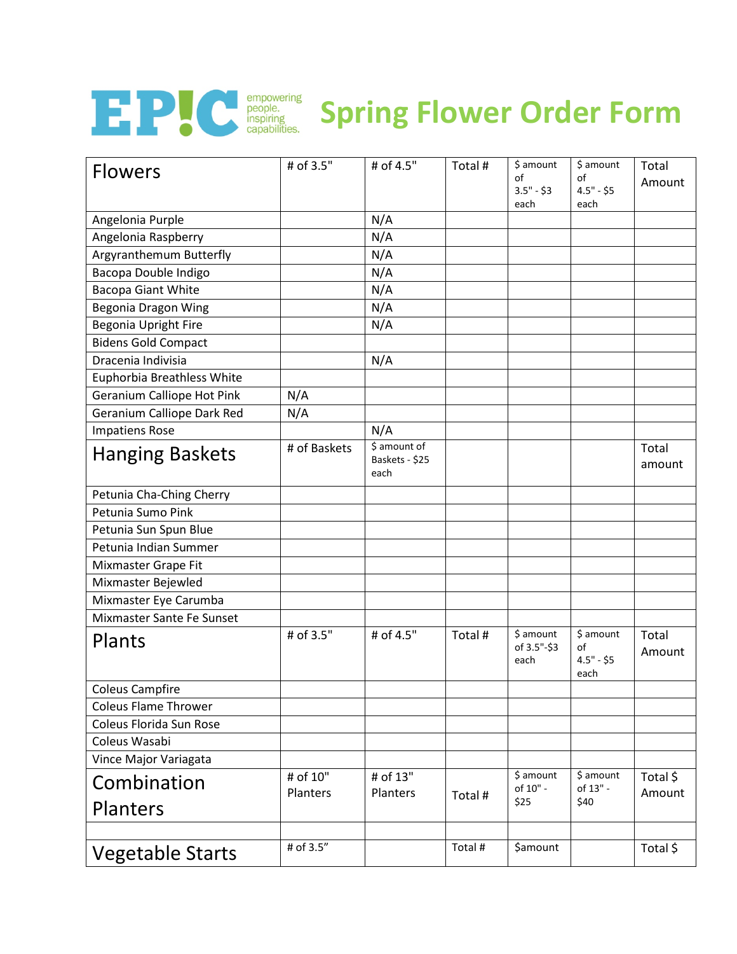

## **F.P.C. Spring Spring Flower Order Form**

| <b>Flowers</b>              | # of 3.5"    | # of 4.5"                              | Total # | \$ amount<br>of<br>$3.5" - $3$   | \$ amount<br>of<br>$4.5" - $5$         | Total<br>Amount |
|-----------------------------|--------------|----------------------------------------|---------|----------------------------------|----------------------------------------|-----------------|
|                             |              |                                        |         | each                             | each                                   |                 |
| Angelonia Purple            |              | N/A                                    |         |                                  |                                        |                 |
| Angelonia Raspberry         |              | N/A                                    |         |                                  |                                        |                 |
| Argyranthemum Butterfly     |              | N/A                                    |         |                                  |                                        |                 |
| Bacopa Double Indigo        |              | N/A                                    |         |                                  |                                        |                 |
| <b>Bacopa Giant White</b>   |              | N/A                                    |         |                                  |                                        |                 |
| Begonia Dragon Wing         |              | N/A                                    |         |                                  |                                        |                 |
| Begonia Upright Fire        |              | N/A                                    |         |                                  |                                        |                 |
| <b>Bidens Gold Compact</b>  |              |                                        |         |                                  |                                        |                 |
| Dracenia Indivisia          |              | N/A                                    |         |                                  |                                        |                 |
| Euphorbia Breathless White  |              |                                        |         |                                  |                                        |                 |
| Geranium Calliope Hot Pink  | N/A          |                                        |         |                                  |                                        |                 |
| Geranium Calliope Dark Red  | N/A          |                                        |         |                                  |                                        |                 |
| <b>Impatiens Rose</b>       |              | N/A                                    |         |                                  |                                        |                 |
| <b>Hanging Baskets</b>      | # of Baskets | \$ amount of<br>Baskets - \$25<br>each |         |                                  |                                        | Total<br>amount |
| Petunia Cha-Ching Cherry    |              |                                        |         |                                  |                                        |                 |
| Petunia Sumo Pink           |              |                                        |         |                                  |                                        |                 |
| Petunia Sun Spun Blue       |              |                                        |         |                                  |                                        |                 |
| Petunia Indian Summer       |              |                                        |         |                                  |                                        |                 |
| Mixmaster Grape Fit         |              |                                        |         |                                  |                                        |                 |
| Mixmaster Bejewled          |              |                                        |         |                                  |                                        |                 |
| Mixmaster Eye Carumba       |              |                                        |         |                                  |                                        |                 |
| Mixmaster Sante Fe Sunset   |              |                                        |         |                                  |                                        |                 |
| Plants                      | # of 3.5"    | # of 4.5"                              | Total # | \$ amount<br>of 3.5"-\$3<br>each | \$ amount<br>of<br>$4.5" - $5$<br>each | Total<br>Amount |
| <b>Coleus Campfire</b>      |              |                                        |         |                                  |                                        |                 |
| <b>Coleus Flame Thrower</b> |              |                                        |         |                                  |                                        |                 |
| Coleus Florida Sun Rose     |              |                                        |         |                                  |                                        |                 |
| Coleus Wasabi               |              |                                        |         |                                  |                                        |                 |
| Vince Major Variagata       |              |                                        |         |                                  |                                        |                 |
| Combination                 | # of 10"     | # of 13"                               |         | \$ amount<br>of 10" -            | \$ amount<br>of 13" -                  | Total \$        |
| Planters                    | Planters     | Planters                               | Total # | \$25                             | \$40                                   | Amount          |
| <b>Vegetable Starts</b>     | # of 3.5"    |                                        | Total # | \$amount                         |                                        | Total \$        |